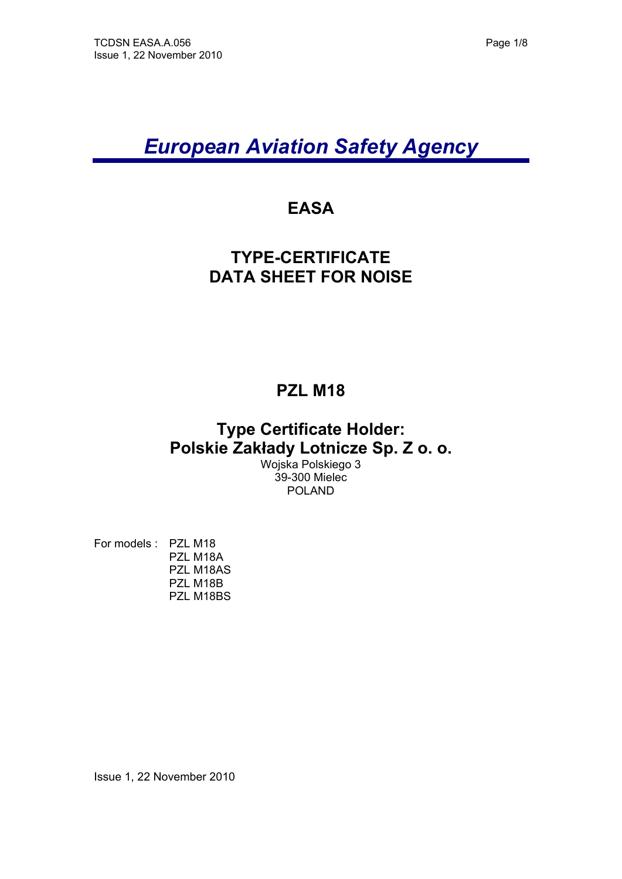# *European Aviation Safety Agency*

#### **EASA**

### **TYPE-CERTIFICATE DATA SHEET FOR NOISE**

#### **PZL M18**

## **Type Certificate Holder: Polskie Zakłady Lotnicze Sp. Z o. o.**

Wojska Polskiego 3 39-300 Mielec POLAND

For models : PZL M18 PZL M18A PZL M18AS PZL M18B PZL M18BS

Issue 1, 22 November 2010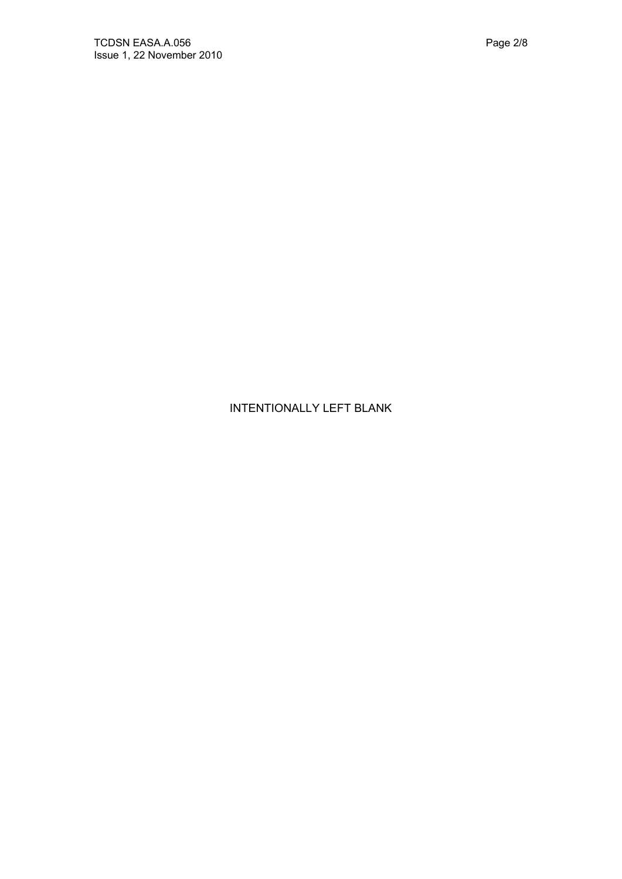#### INTENTIONALLY LEFT BLANK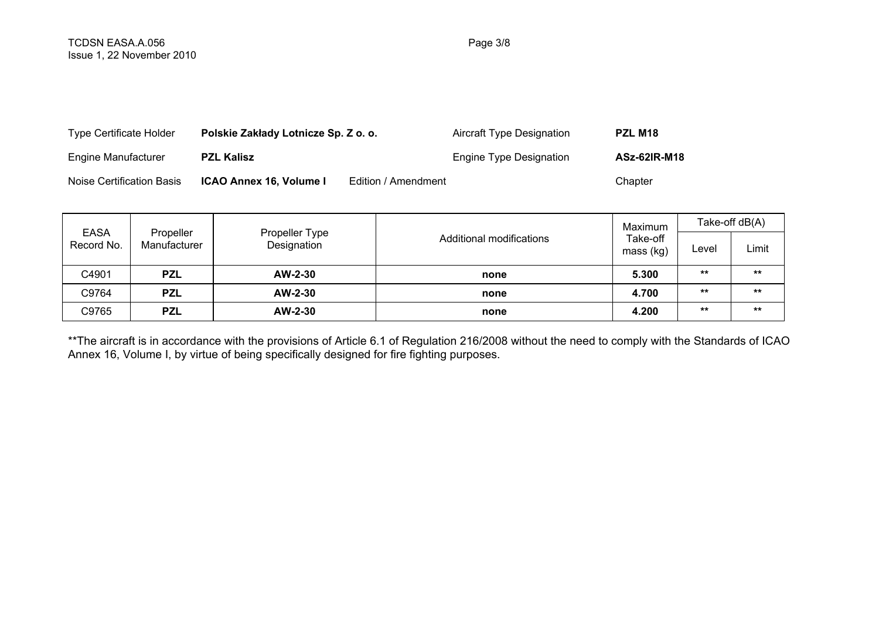| <b>Type Certificate Holder</b> | Polskie Zakłady Lotnicze Sp. Z o. o. |                     | Aircraft Type Designation | PZL M <sub>18</sub> |
|--------------------------------|--------------------------------------|---------------------|---------------------------|---------------------|
| Engine Manufacturer            | <b>PZL Kalisz</b>                    |                     | Engine Type Designation   | ASz-62IR-M18        |
| Noise Certification Basis      | <b>ICAO Annex 16, Volume I</b>       | Edition / Amendment |                           | Chapter             |

|                           |                           |                               |                          | Maximum               | Take-off $dB(A)$ |       |
|---------------------------|---------------------------|-------------------------------|--------------------------|-----------------------|------------------|-------|
| <b>EASA</b><br>Record No. | Propeller<br>Manufacturer | Propeller Type<br>Designation | Additional modifications | Take-off<br>mass (kg) | Level            | Limit |
| C4901                     | <b>PZL</b>                | AW-2-30                       | none                     | 5.300                 | $***$            | $***$ |
| C9764                     | <b>PZL</b>                | AW-2-30                       | none                     | 4.700                 | $***$            | $***$ |
| C9765                     | <b>PZL</b>                | AW-2-30                       | none                     | 4.200                 | $***$            | $***$ |

\*\*The aircraft is in accordance with the provisions of Article 6.1 of Regulation 216/2008 without the need to comply with the Standards of ICAO Annex 16, Volume I, by virtue of being specifically designed for fire fighting purposes.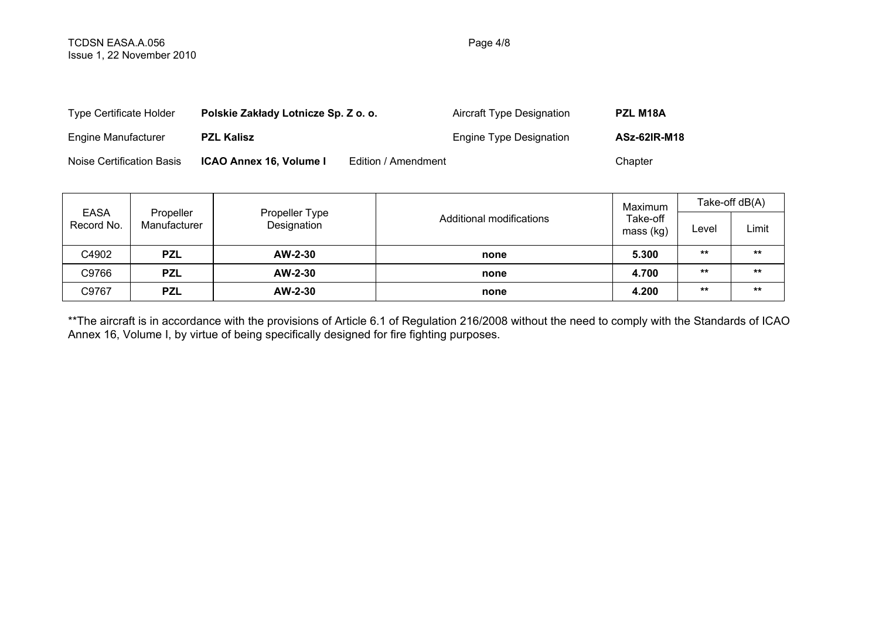| <b>Type Certificate Holder</b> | Polskie Zakłady Lotnicze Sp. Z o. o. |                     | Aircraft Type Designation | <b>PZL M18A</b> |
|--------------------------------|--------------------------------------|---------------------|---------------------------|-----------------|
| Engine Manufacturer            | <b>PZL Kalisz</b>                    |                     | Engine Type Designation   | ASz-62IR-M18    |
| Noise Certification Basis      | <b>ICAO Annex 16, Volume I</b>       | Edition / Amendment |                           | Chapter         |

|                           |                           |                               |                          | Maximum | Take-off dB(A) |       |
|---------------------------|---------------------------|-------------------------------|--------------------------|---------|----------------|-------|
| <b>EASA</b><br>Record No. | Propeller<br>Manufacturer | Propeller Type<br>Designation | Additional modifications |         | Level          | Limit |
| C4902                     | <b>PZL</b>                | AW-2-30                       | none                     | 5.300   | $***$          | $***$ |
| C9766                     | <b>PZL</b>                | AW-2-30                       | none                     | 4.700   | $***$          | $***$ |
| C9767                     | <b>PZL</b>                | AW-2-30                       | none                     | 4.200   | $***$          | $***$ |

\*\*The aircraft is in accordance with the provisions of Article 6.1 of Regulation 216/2008 without the need to comply with the Standards of ICAO Annex 16, Volume I, by virtue of being specifically designed for fire fighting purposes.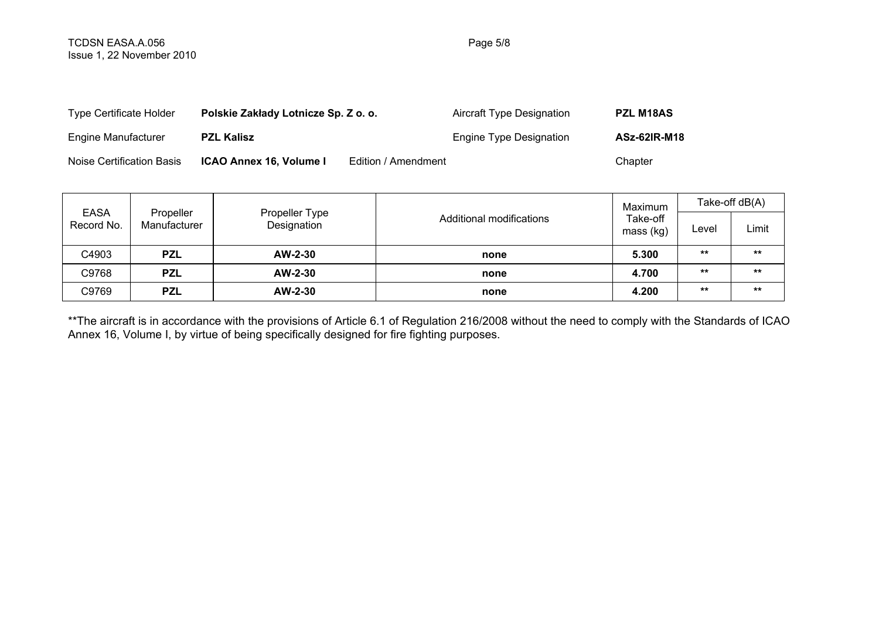| <b>Type Certificate Holder</b> | Polskie Zakłady Lotnicze Sp. Z o. o. |                     | Aircraft Type Designation | <b>PZL M18AS</b> |
|--------------------------------|--------------------------------------|---------------------|---------------------------|------------------|
| Engine Manufacturer            | <b>PZL Kalisz</b>                    |                     | Engine Type Designation   | ASz-62IR-M18     |
| Noise Certification Basis      | <b>ICAO Annex 16, Volume I</b>       | Edition / Amendment |                           | Chapter          |

|                           |                           |                               |                                                   | Maximum | Take-off $dB(A)$ |       |
|---------------------------|---------------------------|-------------------------------|---------------------------------------------------|---------|------------------|-------|
| <b>EASA</b><br>Record No. | Propeller<br>Manufacturer | Propeller Type<br>Designation | Take-off<br>Additional modifications<br>mass (kg) |         | Level            | ∟imit |
| C4903                     | <b>PZL</b>                | AW-2-30                       | none                                              | 5.300   | $***$            | $***$ |
| C9768                     | <b>PZL</b>                | AW-2-30                       | none                                              | 4.700   | $***$            | $***$ |
| C9769                     | <b>PZL</b>                | AW-2-30                       | none                                              | 4.200   | $***$            | **    |

\*\*The aircraft is in accordance with the provisions of Article 6.1 of Regulation 216/2008 without the need to comply with the Standards of ICAO Annex 16, Volume I, by virtue of being specifically designed for fire fighting purposes.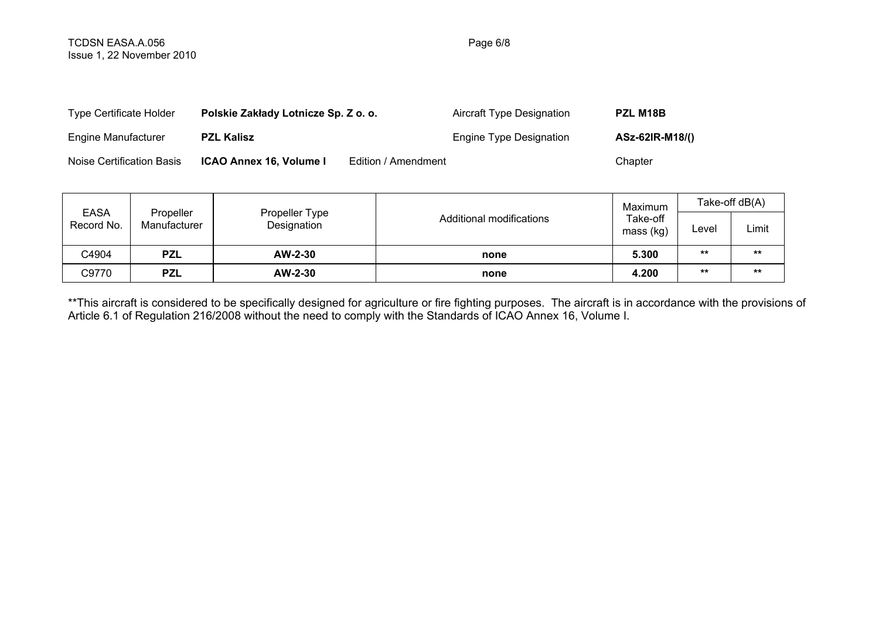| <b>Type Certificate Holder</b> | Polskie Zakłady Lotnicze Sp. Z o. o. |                     | Aircraft Type Designation | PZL M18B        |
|--------------------------------|--------------------------------------|---------------------|---------------------------|-----------------|
| Engine Manufacturer            | <b>PZL Kalisz</b>                    |                     | Engine Type Designation   | ASz-62IR-M18/() |
| Noise Certification Basis      | <b>ICAO Annex 16, Volume I</b>       | Edition / Amendment |                           | Chapter         |

|                                                                                         |            |           |                          | Maximum               | Take-off $dB(A)$ |       |
|-----------------------------------------------------------------------------------------|------------|-----------|--------------------------|-----------------------|------------------|-------|
| <b>EASA</b><br>Propeller Type<br>Propeller<br>Designation<br>Record No.<br>Manufacturer |            |           | Additional modifications | Take-off<br>mass (kg) | Level            | Limit |
| C4904                                                                                   | <b>PZL</b> | $AW-2-30$ | none                     | 5.300                 | $***$            | $***$ |
| C9770                                                                                   | <b>PZL</b> | $AW-2-30$ | none                     | 4.200                 | $***$            | $***$ |

\*\*This aircraft is considered to be specifically designed for agriculture or fire fighting purposes. The aircraft is in accordance with the provisions of Article 6.1 of Regulation 216/2008 without the need to comply with the Standards of ICAO Annex 16, Volume I.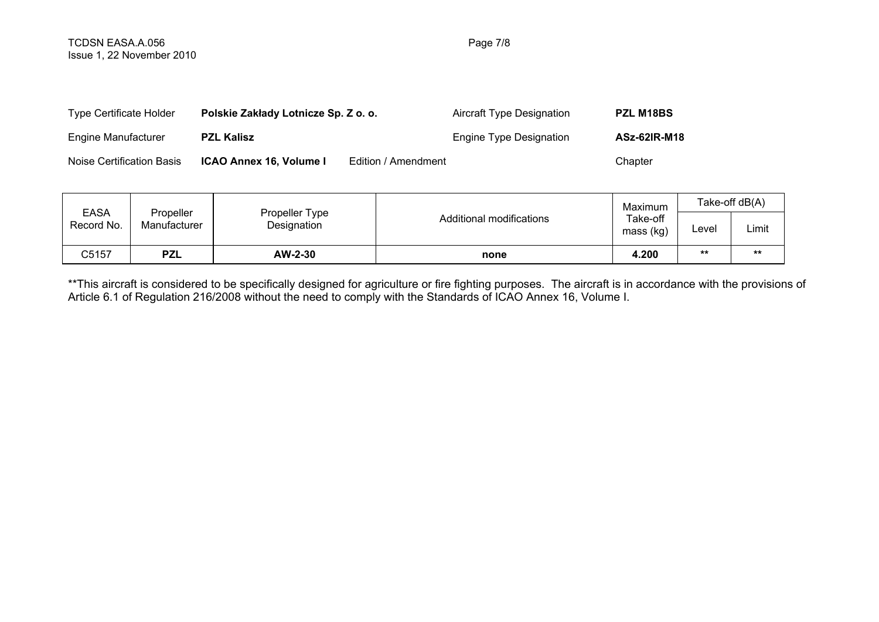| <b>Type Certificate Holder</b> | Polskie Zakłady Lotnicze Sp. Z o. o. |                     | Aircraft Type Designation | <b>PZL M18BS</b> |
|--------------------------------|--------------------------------------|---------------------|---------------------------|------------------|
| Engine Manufacturer            | <b>PZL Kalisz</b>                    |                     | Engine Type Designation   | ASz-62IR-M18     |
| Noise Certification Basis      | <b>ICAO Annex 16, Volume I</b>       | Edition / Amendment |                           | Chapter          |

|                           |                           |                               |                          | Maximum               | Take-off dB(A) |       |
|---------------------------|---------------------------|-------------------------------|--------------------------|-----------------------|----------------|-------|
| <b>EASA</b><br>Record No. | Propeller<br>Manufacturer | Propeller Type<br>Designation | Additional modifications | Take-off<br>mass (kg) | Level          | Limit |
| C5157                     | <b>PZL</b>                | AW-2-30                       | none                     | 4.200                 | $***$          | $***$ |

\*\*This aircraft is considered to be specifically designed for agriculture or fire fighting purposes. The aircraft is in accordance with the provisions of Article 6.1 of Regulation 216/2008 without the need to comply with the Standards of ICAO Annex 16, Volume I.